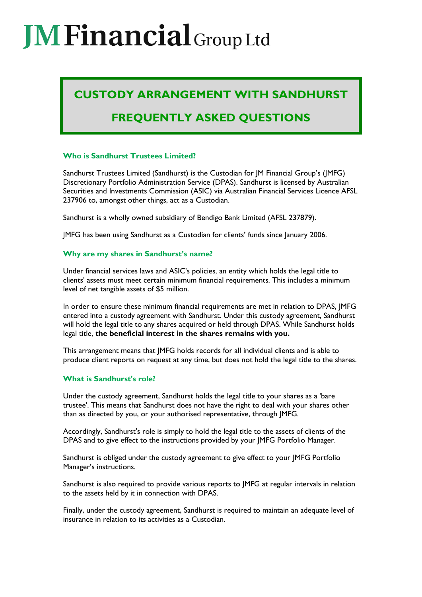# **MEinancial** Group Ltd

## **CUSTODY ARRANGEMENT WITH SANDHURST**

### **FREQUENTLY ASKED QUESTIONS**

#### **Who is Sandhurst Trustees Limited?**

Sandhurst Trustees Limited (Sandhurst) is the Custodian for JM Financial Group's (JMFG) Discretionary Portfolio Administration Service (DPAS). Sandhurst is licensed by Australian Securities and Investments Commission (ASIC) via Australian Financial Services Licence AFSL 237906 to, amongst other things, act as a Custodian.

Sandhurst is a wholly owned subsidiary of Bendigo Bank Limited (AFSL 237879).

JMFG has been using Sandhurst as a Custodian for clients' funds since January 2006.

#### **Why are my shares in Sandhurst's name?**

Under financial services laws and ASIC's policies, an entity which holds the legal title to clients' assets must meet certain minimum financial requirements. This includes a minimum level of net tangible assets of \$5 million.

In order to ensure these minimum financial requirements are met in relation to DPAS, JMFG entered into a custody agreement with Sandhurst. Under this custody agreement, Sandhurst will hold the legal title to any shares acquired or held through DPAS. While Sandhurst holds legal title, **the beneficial interest in the shares remains with you.**

This arrangement means that JMFG holds records for all individual clients and is able to produce client reports on request at any time, but does not hold the legal title to the shares.

#### **What is Sandhurst's role?**

Under the custody agreement, Sandhurst holds the legal title to your shares as a 'bare trustee'. This means that Sandhurst does not have the right to deal with your shares other than as directed by you, or your authorised representative, through JMFG.

Accordingly, Sandhurst's role is simply to hold the legal title to the assets of clients of the DPAS and to give effect to the instructions provided by your JMFG Portfolio Manager.

Sandhurst is obliged under the custody agreement to give effect to your JMFG Portfolio Manager's instructions.

Sandhurst is also required to provide various reports to JMFG at regular intervals in relation to the assets held by it in connection with DPAS.

Finally, under the custody agreement, Sandhurst is required to maintain an adequate level of insurance in relation to its activities as a Custodian.